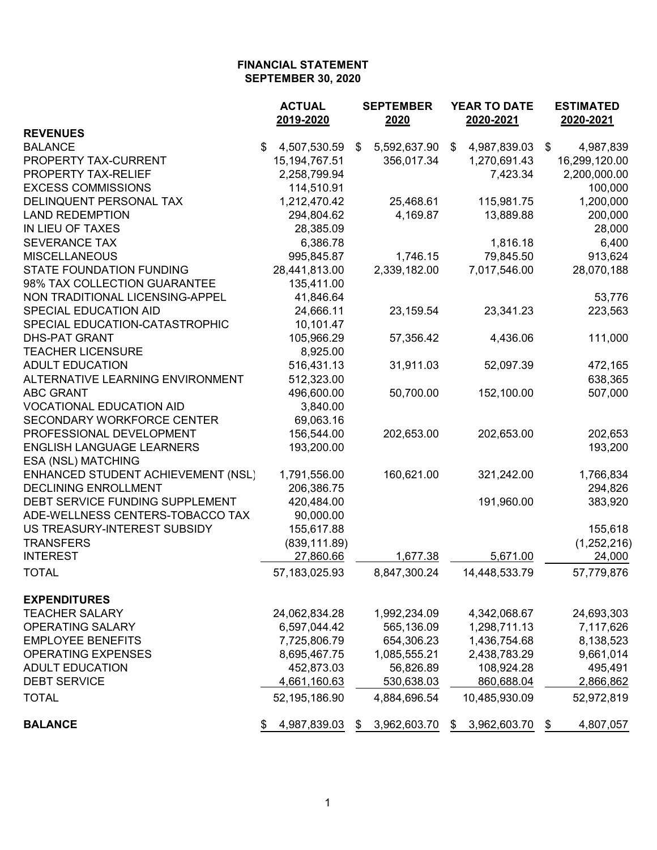|                                    | <b>ACTUAL</b><br>2019-2020 | <b>SEPTEMBER</b><br>2020 | <b>YEAR TO DATE</b><br>2020-2021 | <b>ESTIMATED</b><br>2020-2021 |
|------------------------------------|----------------------------|--------------------------|----------------------------------|-------------------------------|
| <b>REVENUES</b>                    |                            |                          |                                  |                               |
| <b>BALANCE</b>                     | \$<br>4,507,530.59         | 5,592,637.90<br>\$       | 4,987,839.03<br>\$               | 4,987,839<br>\$               |
| PROPERTY TAX-CURRENT               | 15, 194, 767. 51           | 356,017.34               | 1,270,691.43                     | 16,299,120.00                 |
| PROPERTY TAX-RELIEF                | 2,258,799.94               |                          | 7,423.34                         | 2,200,000.00                  |
| <b>EXCESS COMMISSIONS</b>          | 114,510.91                 |                          |                                  | 100,000                       |
| DELINQUENT PERSONAL TAX            | 1,212,470.42               | 25,468.61                | 115,981.75                       | 1,200,000                     |
| <b>LAND REDEMPTION</b>             | 294,804.62                 | 4,169.87                 | 13,889.88                        | 200,000                       |
| IN LIEU OF TAXES                   | 28,385.09                  |                          |                                  | 28,000                        |
| <b>SEVERANCE TAX</b>               | 6,386.78                   |                          | 1,816.18                         | 6,400                         |
| <b>MISCELLANEOUS</b>               | 995,845.87                 | 1,746.15                 | 79,845.50                        | 913,624                       |
| <b>STATE FOUNDATION FUNDING</b>    | 28,441,813.00              | 2,339,182.00             | 7,017,546.00                     | 28,070,188                    |
| 98% TAX COLLECTION GUARANTEE       | 135,411.00                 |                          |                                  |                               |
| NON TRADITIONAL LICENSING-APPEL    | 41,846.64                  |                          |                                  | 53,776                        |
| SPECIAL EDUCATION AID              | 24,666.11                  | 23,159.54                | 23,341.23                        | 223,563                       |
| SPECIAL EDUCATION-CATASTROPHIC     | 10,101.47                  |                          |                                  |                               |
| <b>DHS-PAT GRANT</b>               | 105,966.29                 | 57,356.42                | 4,436.06                         | 111,000                       |
| <b>TEACHER LICENSURE</b>           | 8,925.00                   |                          |                                  |                               |
| <b>ADULT EDUCATION</b>             | 516,431.13                 | 31,911.03                | 52,097.39                        | 472,165                       |
| ALTERNATIVE LEARNING ENVIRONMENT   | 512,323.00                 |                          |                                  | 638,365                       |
| <b>ABC GRANT</b>                   | 496,600.00                 | 50,700.00                | 152,100.00                       | 507,000                       |
| <b>VOCATIONAL EDUCATION AID</b>    | 3,840.00                   |                          |                                  |                               |
| SECONDARY WORKFORCE CENTER         | 69,063.16                  |                          |                                  |                               |
| PROFESSIONAL DEVELOPMENT           | 156,544.00                 | 202,653.00               | 202,653.00                       | 202,653                       |
| <b>ENGLISH LANGUAGE LEARNERS</b>   | 193,200.00                 |                          |                                  | 193,200                       |
| <b>ESA (NSL) MATCHING</b>          |                            |                          |                                  |                               |
| ENHANCED STUDENT ACHIEVEMENT (NSL) | 1,791,556.00               | 160,621.00               | 321,242.00                       | 1,766,834                     |
| <b>DECLINING ENROLLMENT</b>        | 206,386.75                 |                          |                                  | 294,826                       |
| DEBT SERVICE FUNDING SUPPLEMENT    | 420,484.00                 |                          | 191,960.00                       | 383,920                       |
| ADE-WELLNESS CENTERS-TOBACCO TAX   | 90,000.00                  |                          |                                  |                               |
| US TREASURY-INTEREST SUBSIDY       | 155,617.88                 |                          |                                  | 155,618                       |
| <b>TRANSFERS</b>                   | (839, 111.89)              |                          |                                  | (1,252,216)                   |
| <b>INTEREST</b>                    | 27,860.66                  | 1,677.38                 | 5,671.00                         | 24,000                        |
| <b>TOTAL</b>                       | 57,183,025.93              | 8,847,300.24             | 14,448,533.79                    | 57,779,876                    |
| <b>EXPENDITURES</b>                |                            |                          |                                  |                               |
| <b>TEACHER SALARY</b>              | 24,062,834.28              | 1,992,234.09             | 4,342,068.67                     | 24,693,303                    |
| OPERATING SALARY                   | 6,597,044.42               | 565,136.09               | 1,298,711.13                     | 7,117,626                     |
| <b>EMPLOYEE BENEFITS</b>           | 7,725,806.79               | 654,306.23               | 1,436,754.68                     | 8,138,523                     |
| <b>OPERATING EXPENSES</b>          | 8,695,467.75               | 1,085,555.21             | 2,438,783.29                     | 9,661,014                     |
| <b>ADULT EDUCATION</b>             | 452,873.03                 | 56,826.89                | 108,924.28                       | 495,491                       |
| <b>DEBT SERVICE</b>                | 4,661,160.63               | 530,638.03               | 860,688.04                       | 2,866,862                     |
| <b>TOTAL</b>                       | 52,195,186.90              | 4,884,696.54             | 10,485,930.09                    | 52,972,819                    |
| <b>BALANCE</b>                     | 4,987,839.03<br>\$         | 3,962,603.70<br>\$       | 3,962,603.70<br>\$               | \$<br>4,807,057               |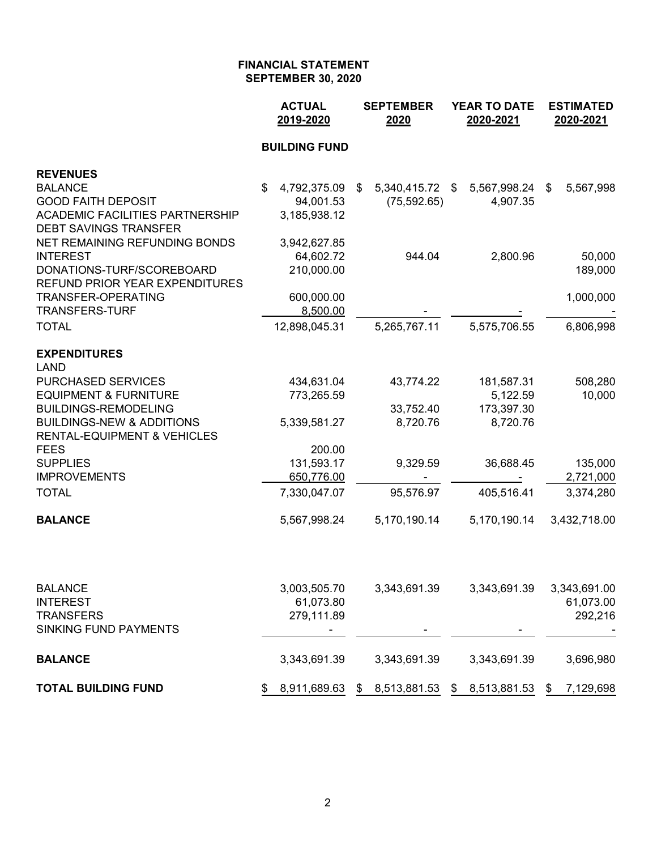|                                                  | <b>ACTUAL</b><br>2019-2020 |                      | <b>SEPTEMBER</b><br>2020 |    | <b>YEAR TO DATE</b><br>2020-2021 | <b>ESTIMATED</b><br>2020-2021 |              |  |
|--------------------------------------------------|----------------------------|----------------------|--------------------------|----|----------------------------------|-------------------------------|--------------|--|
|                                                  |                            | <b>BUILDING FUND</b> |                          |    |                                  |                               |              |  |
| <b>REVENUES</b>                                  |                            |                      |                          |    |                                  |                               |              |  |
| <b>BALANCE</b>                                   | \$                         | 4,792,375.09         | \$<br>5,340,415.72 \$    |    | 5,567,998.24                     | \$                            | 5,567,998    |  |
| <b>GOOD FAITH DEPOSIT</b>                        |                            | 94,001.53            | (75, 592.65)             |    | 4,907.35                         |                               |              |  |
| <b>ACADEMIC FACILITIES PARTNERSHIP</b>           |                            | 3,185,938.12         |                          |    |                                  |                               |              |  |
| <b>DEBT SAVINGS TRANSFER</b>                     |                            |                      |                          |    |                                  |                               |              |  |
| NET REMAINING REFUNDING BONDS                    |                            | 3,942,627.85         |                          |    |                                  |                               |              |  |
| <b>INTEREST</b><br>DONATIONS-TURF/SCOREBOARD     |                            | 64,602.72            | 944.04                   |    | 2,800.96                         |                               | 50,000       |  |
| <b>REFUND PRIOR YEAR EXPENDITURES</b>            |                            | 210,000.00           |                          |    |                                  |                               | 189,000      |  |
| <b>TRANSFER-OPERATING</b>                        |                            | 600,000.00           |                          |    |                                  |                               | 1,000,000    |  |
| <b>TRANSFERS-TURF</b>                            |                            | 8,500.00             |                          |    |                                  |                               |              |  |
| <b>TOTAL</b>                                     |                            | 12,898,045.31        | 5,265,767.11             |    | 5,575,706.55                     |                               | 6,806,998    |  |
| <b>EXPENDITURES</b><br><b>LAND</b>               |                            |                      |                          |    |                                  |                               |              |  |
| <b>PURCHASED SERVICES</b>                        |                            | 434,631.04           | 43,774.22                |    | 181,587.31                       |                               | 508,280      |  |
| <b>EQUIPMENT &amp; FURNITURE</b>                 |                            | 773,265.59           |                          |    | 5,122.59                         |                               | 10,000       |  |
| <b>BUILDINGS-REMODELING</b>                      |                            |                      | 33,752.40                |    | 173,397.30                       |                               |              |  |
| <b>BUILDINGS-NEW &amp; ADDITIONS</b>             |                            | 5,339,581.27         | 8,720.76                 |    | 8,720.76                         |                               |              |  |
| <b>RENTAL-EQUIPMENT &amp; VEHICLES</b>           |                            |                      |                          |    |                                  |                               |              |  |
| <b>FEES</b>                                      |                            | 200.00               |                          |    |                                  |                               |              |  |
| <b>SUPPLIES</b>                                  |                            | 131,593.17           | 9,329.59                 |    | 36,688.45                        |                               | 135,000      |  |
| <b>IMPROVEMENTS</b>                              |                            | 650,776.00           |                          |    |                                  |                               | 2,721,000    |  |
| <b>TOTAL</b>                                     |                            | 7,330,047.07         | 95,576.97                |    | 405,516.41                       |                               | 3,374,280    |  |
| <b>BALANCE</b>                                   |                            | 5,567,998.24         | 5,170,190.14             |    | 5,170,190.14                     |                               | 3,432,718.00 |  |
|                                                  |                            |                      |                          |    |                                  |                               |              |  |
| <b>BALANCE</b>                                   |                            | 3,003,505.70         | 3,343,691.39             |    | 3,343,691.39                     |                               | 3,343,691.00 |  |
| <b>INTEREST</b>                                  |                            | 61,073.80            |                          |    |                                  |                               | 61,073.00    |  |
| <b>TRANSFERS</b><br><b>SINKING FUND PAYMENTS</b> |                            | 279,111.89           |                          |    |                                  |                               | 292,216      |  |
| <b>BALANCE</b>                                   |                            | 3,343,691.39         | 3,343,691.39             |    | 3,343,691.39                     |                               | 3,696,980    |  |
|                                                  |                            |                      |                          |    |                                  |                               |              |  |
| <b>TOTAL BUILDING FUND</b>                       | \$                         | 8,911,689.63         | \$<br>8,513,881.53       | \$ | 8,513,881.53                     | \$                            | 7,129,698    |  |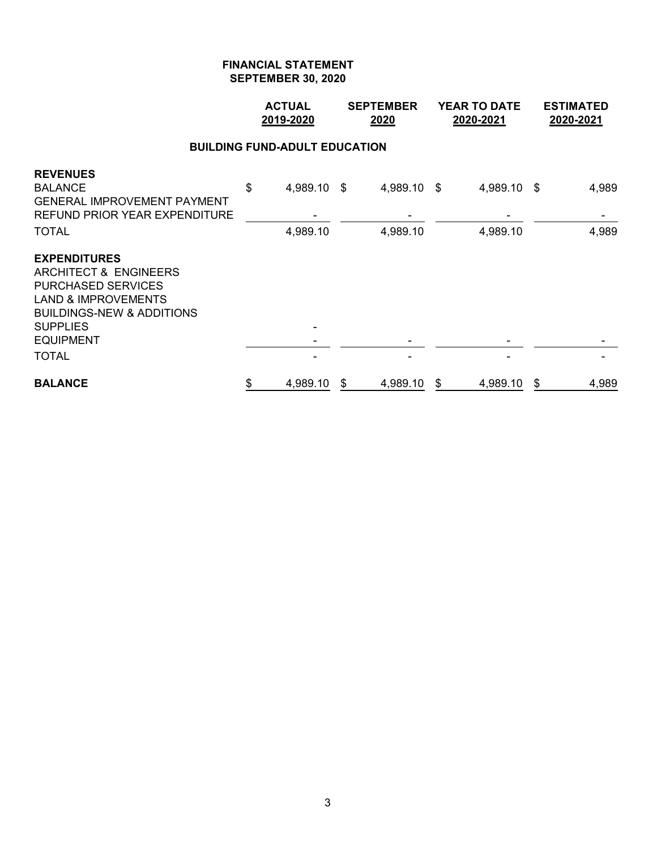|                                                                                                                                                                                                            | <b>ACTUAL</b><br>2019-2020 |                      |    | <b>SEPTEMBER</b><br>2020 |    | <b>YEAR TO DATE</b><br>2020-2021 | <b>ESTIMATED</b><br>2020-2021 |                |  |  |  |  |
|------------------------------------------------------------------------------------------------------------------------------------------------------------------------------------------------------------|----------------------------|----------------------|----|--------------------------|----|----------------------------------|-------------------------------|----------------|--|--|--|--|
| <b>BUILDING FUND-ADULT EDUCATION</b>                                                                                                                                                                       |                            |                      |    |                          |    |                                  |                               |                |  |  |  |  |
| <b>REVENUES</b><br><b>BALANCE</b><br><b>GENERAL IMPROVEMENT PAYMENT</b><br>REFUND PRIOR YEAR EXPENDITURE<br><b>TOTAL</b>                                                                                   | \$                         | 4,989.10<br>4,989.10 | \$ | 4,989.10 \$<br>4,989.10  |    | 4,989.10 \$<br>4,989.10          |                               | 4,989<br>4,989 |  |  |  |  |
| <b>EXPENDITURES</b><br>ARCHITECT & ENGINEERS<br><b>PURCHASED SERVICES</b><br><b>LAND &amp; IMPROVEMENTS</b><br><b>BUILDINGS-NEW &amp; ADDITIONS</b><br><b>SUPPLIES</b><br><b>EQUIPMENT</b><br><b>TOTAL</b> |                            |                      |    |                          |    |                                  |                               |                |  |  |  |  |
| <b>BALANCE</b>                                                                                                                                                                                             | \$                         | 4,989.10             | \$ | 4,989.10                 | \$ | 4,989.10                         | \$                            | 4,989          |  |  |  |  |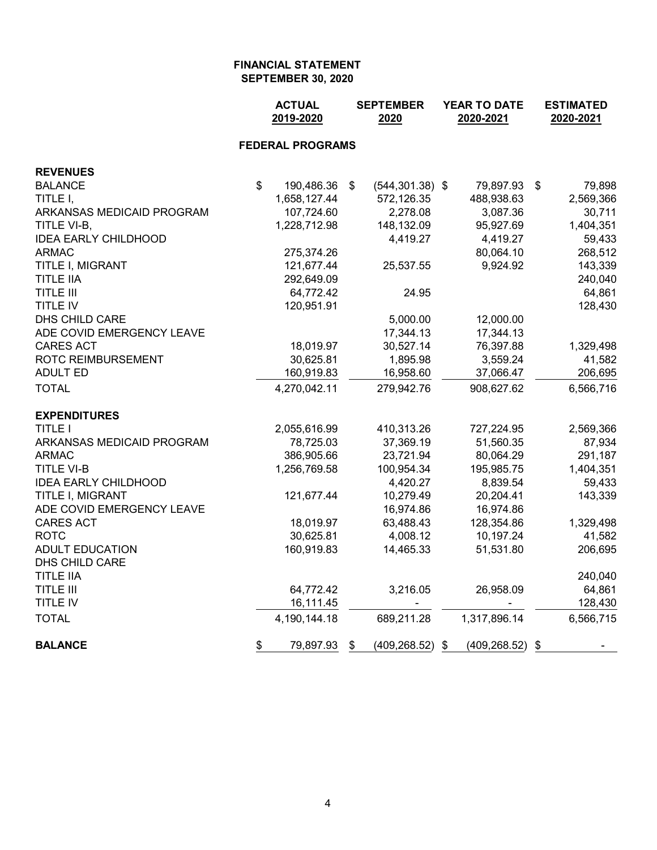|                             | <b>ACTUAL</b><br>2019-2020 | <b>SEPTEMBER</b><br>2020 |                    | YEAR TO DATE<br>2020-2021 | <b>ESTIMATED</b><br>2020-2021 |
|-----------------------------|----------------------------|--------------------------|--------------------|---------------------------|-------------------------------|
|                             | <b>FEDERAL PROGRAMS</b>    |                          |                    |                           |                               |
| <b>REVENUES</b>             |                            |                          |                    |                           |                               |
| <b>BALANCE</b>              | \$<br>190,486.36           | \$                       | $(544, 301.38)$ \$ | 79,897.93                 | \$<br>79,898                  |
| TITLE I,                    | 1,658,127.44               |                          | 572,126.35         | 488,938.63                | 2,569,366                     |
| ARKANSAS MEDICAID PROGRAM   | 107,724.60                 |                          | 2,278.08           | 3,087.36                  | 30,711                        |
| TITLE VI-B,                 | 1,228,712.98               |                          | 148,132.09         | 95,927.69                 | 1,404,351                     |
| <b>IDEA EARLY CHILDHOOD</b> |                            |                          | 4,419.27           | 4,419.27                  | 59,433                        |
| <b>ARMAC</b>                | 275,374.26                 |                          |                    | 80,064.10                 | 268,512                       |
| TITLE I, MIGRANT            | 121,677.44                 |                          | 25,537.55          | 9,924.92                  | 143,339                       |
| <b>TITLE IIA</b>            | 292,649.09                 |                          |                    |                           | 240,040                       |
| <b>TITLE III</b>            | 64,772.42                  |                          | 24.95              |                           | 64,861                        |
| <b>TITLE IV</b>             | 120,951.91                 |                          |                    |                           | 128,430                       |
| DHS CHILD CARE              |                            |                          | 5,000.00           | 12,000.00                 |                               |
| ADE COVID EMERGENCY LEAVE   |                            |                          | 17,344.13          | 17,344.13                 |                               |
| <b>CARES ACT</b>            | 18,019.97                  |                          | 30,527.14          | 76,397.88                 | 1,329,498                     |
| <b>ROTC REIMBURSEMENT</b>   | 30,625.81                  |                          | 1,895.98           | 3,559.24                  | 41,582                        |
| <b>ADULT ED</b>             | 160,919.83                 |                          | 16,958.60          | 37,066.47                 | 206,695                       |
| <b>TOTAL</b>                | 4,270,042.11               |                          | 279,942.76         | 908,627.62                | 6,566,716                     |
| <b>EXPENDITURES</b>         |                            |                          |                    |                           |                               |
| <b>TITLE I</b>              | 2,055,616.99               |                          | 410,313.26         | 727,224.95                | 2,569,366                     |
| ARKANSAS MEDICAID PROGRAM   | 78,725.03                  |                          | 37,369.19          | 51,560.35                 | 87,934                        |
| <b>ARMAC</b>                | 386,905.66                 |                          | 23,721.94          | 80,064.29                 | 291,187                       |
| <b>TITLE VI-B</b>           | 1,256,769.58               |                          | 100,954.34         | 195,985.75                | 1,404,351                     |
| <b>IDEA EARLY CHILDHOOD</b> |                            |                          | 4,420.27           | 8,839.54                  | 59,433                        |
| TITLE I, MIGRANT            | 121,677.44                 |                          | 10,279.49          | 20,204.41                 | 143,339                       |
| ADE COVID EMERGENCY LEAVE   |                            |                          | 16,974.86          | 16,974.86                 |                               |
| <b>CARES ACT</b>            | 18,019.97                  |                          | 63,488.43          | 128,354.86                | 1,329,498                     |
| <b>ROTC</b>                 | 30,625.81                  |                          | 4,008.12           | 10,197.24                 | 41,582                        |
| <b>ADULT EDUCATION</b>      | 160,919.83                 |                          | 14,465.33          | 51,531.80                 | 206,695                       |
| DHS CHILD CARE              |                            |                          |                    |                           |                               |
| <b>TITLE IIA</b>            |                            |                          |                    |                           | 240,040                       |
| <b>TITLE III</b>            | 64,772.42                  |                          | 3,216.05           | 26,958.09                 | 64,861                        |
| TITLE IV                    | 16,111.45                  |                          |                    |                           | 128,430                       |
| <b>TOTAL</b>                | 4,190,144.18               |                          | 689,211.28         | 1,317,896.14              | 6,566,715                     |
| <b>BALANCE</b>              | \$<br>79,897.93            | \$                       | $(409, 268.52)$ \$ | $(409, 268.52)$ \$        |                               |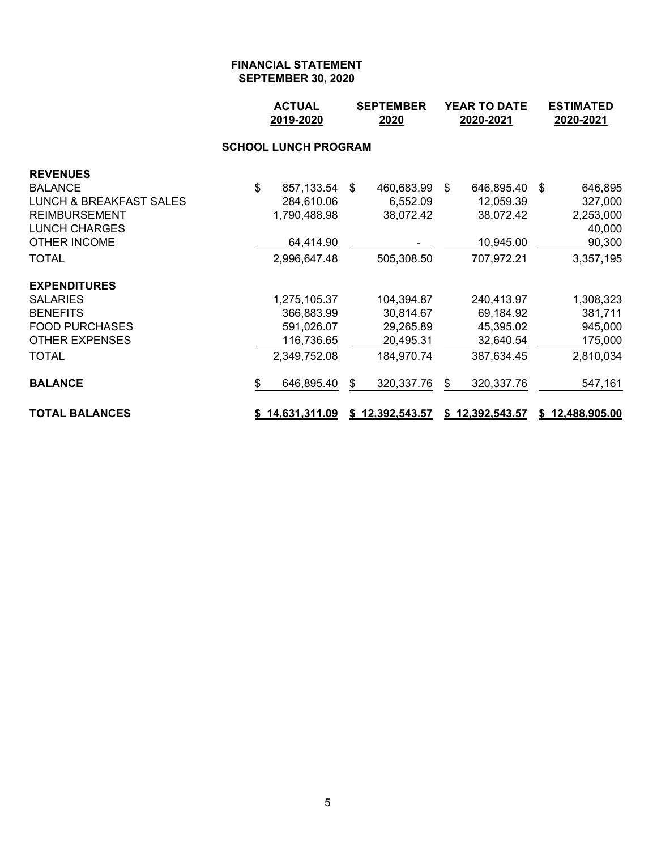|                                    |    | <b>ACTUAL</b><br>2019-2020 |   | <b>SEPTEMBER</b><br>2020 |    | <b>YEAR TO DATE</b><br>2020-2021 |      | <b>ESTIMATED</b><br>2020-2021 |  |  |  |  |
|------------------------------------|----|----------------------------|---|--------------------------|----|----------------------------------|------|-------------------------------|--|--|--|--|
| <b>SCHOOL LUNCH PROGRAM</b>        |    |                            |   |                          |    |                                  |      |                               |  |  |  |  |
| <b>REVENUES</b>                    |    |                            |   |                          |    |                                  |      |                               |  |  |  |  |
| <b>BALANCE</b>                     | \$ | 857,133.54 \$              |   | 460,683.99 \$            |    | 646,895.40                       | - \$ | 646,895                       |  |  |  |  |
| <b>LUNCH &amp; BREAKFAST SALES</b> |    | 284,610.06                 |   | 6,552.09                 |    | 12,059.39                        |      | 327,000                       |  |  |  |  |
| <b>REIMBURSEMENT</b>               |    | 1,790,488.98               |   | 38,072.42                |    | 38,072.42                        |      | 2,253,000                     |  |  |  |  |
| <b>LUNCH CHARGES</b>               |    |                            |   |                          |    |                                  |      | 40,000                        |  |  |  |  |
| <b>OTHER INCOME</b>                |    | 64,414.90                  |   |                          |    | 10,945.00                        |      | 90,300                        |  |  |  |  |
| <b>TOTAL</b>                       |    | 2,996,647.48               |   | 505,308.50               |    | 707,972.21                       |      | 3,357,195                     |  |  |  |  |
| <b>EXPENDITURES</b>                |    |                            |   |                          |    |                                  |      |                               |  |  |  |  |
| <b>SALARIES</b>                    |    | 1,275,105.37               |   | 104,394.87               |    | 240,413.97                       |      | 1,308,323                     |  |  |  |  |
| <b>BENEFITS</b>                    |    | 366,883.99                 |   | 30,814.67                |    | 69,184.92                        |      | 381,711                       |  |  |  |  |
| <b>FOOD PURCHASES</b>              |    | 591,026.07                 |   | 29,265.89                |    | 45,395.02                        |      | 945,000                       |  |  |  |  |
| <b>OTHER EXPENSES</b>              |    | 116,736.65                 |   | 20,495.31                |    | 32,640.54                        |      | 175,000                       |  |  |  |  |
| <b>TOTAL</b>                       |    | 2,349,752.08               |   | 184,970.74               |    | 387,634.45                       |      | 2,810,034                     |  |  |  |  |
| <b>BALANCE</b>                     | \$ | 646,895.40                 | S | 320,337.76               | \$ | 320,337.76                       |      | 547,161                       |  |  |  |  |
| <b>TOTAL BALANCES</b>              |    | \$14,631,311.09            |   | \$12,392,543.57          |    | \$12,392,543.57                  |      | \$12,488,905.00               |  |  |  |  |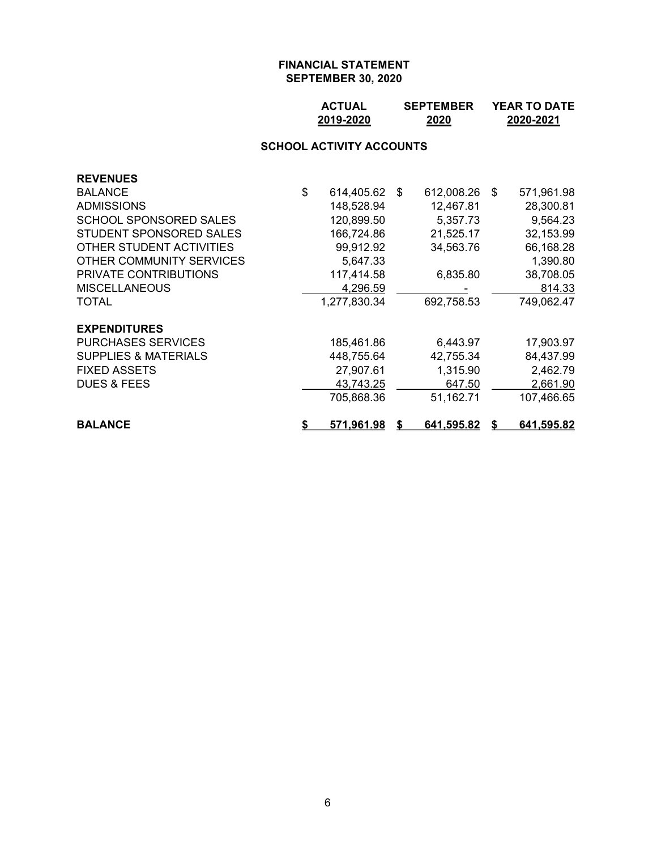## **ACTUAL SEPTEMBER YEAR TO DATE 2019-2020 2020 2020-2021**

#### **SCHOOL ACTIVITY ACCOUNTS**

| <b>REVENUES</b>                 |    |               |   |            |    |            |
|---------------------------------|----|---------------|---|------------|----|------------|
| <b>BALANCE</b>                  | \$ | 614,405.62 \$ |   | 612,008.26 | -S | 571,961.98 |
| <b>ADMISSIONS</b>               |    | 148,528.94    |   | 12,467.81  |    | 28,300.81  |
| <b>SCHOOL SPONSORED SALES</b>   |    | 120,899.50    |   | 5,357.73   |    | 9,564.23   |
| STUDENT SPONSORED SALES         |    | 166,724.86    |   | 21,525.17  |    | 32,153.99  |
| OTHER STUDENT ACTIVITIES        |    | 99,912.92     |   | 34,563.76  |    | 66,168.28  |
| OTHER COMMUNITY SERVICES        |    | 5,647.33      |   |            |    | 1,390.80   |
| PRIVATE CONTRIBUTIONS           |    | 117,414.58    |   | 6,835.80   |    | 38,708.05  |
| <b>MISCELLANEOUS</b>            |    | 4,296.59      |   |            |    | 814.33     |
| TOTAL                           |    | 1,277,830.34  |   | 692,758.53 |    | 749,062.47 |
| <b>EXPENDITURES</b>             |    |               |   |            |    |            |
| <b>PURCHASES SERVICES</b>       |    | 185,461.86    |   | 6,443.97   |    | 17,903.97  |
| <b>SUPPLIES &amp; MATERIALS</b> |    | 448,755.64    |   | 42,755.34  |    | 84,437.99  |
| <b>FIXED ASSETS</b>             |    | 27,907.61     |   | 1,315.90   |    | 2,462.79   |
| <b>DUES &amp; FEES</b>          |    | 43,743.25     |   | 647.50     |    | 2,661.90   |
|                                 |    | 705,868.36    |   | 51,162.71  |    | 107,466.65 |
| <b>BALANCE</b>                  | S  | 571,961.98    | S | 641,595.82 |    | 641,595.82 |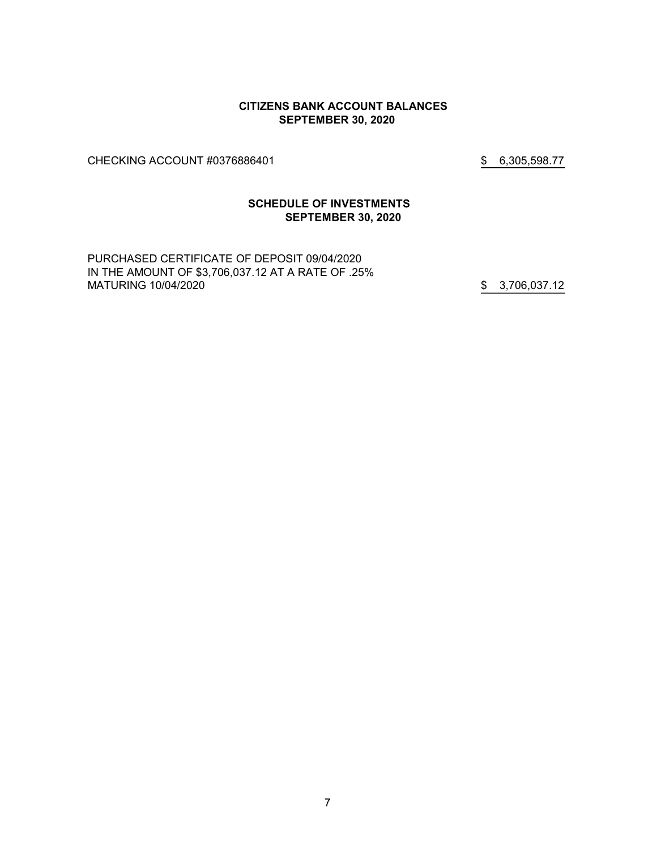#### **CITIZENS BANK ACCOUNT BALANCES SEPTEMBER 30, 2020**

CHECKING ACCOUNT #0376886401 \$ 6,305,598.77

## **SCHEDULE OF INVESTMENTS SEPTEMBER 30, 2020**

PURCHASED CERTIFICATE OF DEPOSIT 09/04/2020 IN THE AMOUNT OF \$3,706,037.12 AT A RATE OF .25% MATURING 10/04/2020 **\$** 3,706,037.12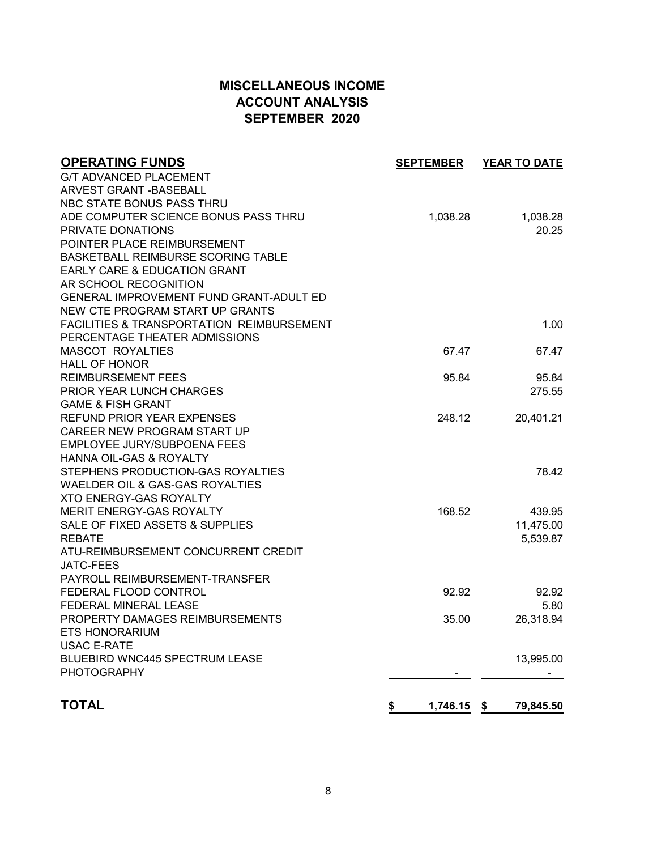# **MISCELLANEOUS INCOME ACCOUNT ANALYSIS SEPTEMBER 2020**

| <b>OPERATING FUNDS</b>                               | <b>SEPTEMBER</b> | <b>YEAR TO DATE</b> |
|------------------------------------------------------|------------------|---------------------|
| <b>G/T ADVANCED PLACEMENT</b>                        |                  |                     |
| <b>ARVEST GRANT - BASEBALL</b>                       |                  |                     |
| NBC STATE BONUS PASS THRU                            |                  |                     |
| ADE COMPUTER SCIENCE BONUS PASS THRU                 | 1,038.28         | 1,038.28            |
| PRIVATE DONATIONS                                    |                  | 20.25               |
| POINTER PLACE REIMBURSEMENT                          |                  |                     |
| BASKETBALL REIMBURSE SCORING TABLE                   |                  |                     |
| <b>EARLY CARE &amp; EDUCATION GRANT</b>              |                  |                     |
| AR SCHOOL RECOGNITION                                |                  |                     |
| <b>GENERAL IMPROVEMENT FUND GRANT-ADULT ED</b>       |                  |                     |
| NEW CTE PROGRAM START UP GRANTS                      |                  |                     |
| <b>FACILITIES &amp; TRANSPORTATION REIMBURSEMENT</b> |                  | 1.00                |
| PERCENTAGE THEATER ADMISSIONS                        |                  |                     |
| <b>MASCOT ROYALTIES</b>                              | 67.47            | 67.47               |
| <b>HALL OF HONOR</b>                                 |                  |                     |
| <b>REIMBURSEMENT FEES</b>                            | 95.84            | 95.84               |
| <b>PRIOR YEAR LUNCH CHARGES</b>                      |                  | 275.55              |
| <b>GAME &amp; FISH GRANT</b>                         |                  |                     |
| <b>REFUND PRIOR YEAR EXPENSES</b>                    | 248.12           | 20,401.21           |
| CAREER NEW PROGRAM START UP                          |                  |                     |
| EMPLOYEE JURY/SUBPOENA FEES                          |                  |                     |
| HANNA OIL-GAS & ROYALTY                              |                  |                     |
| STEPHENS PRODUCTION-GAS ROYALTIES                    |                  | 78.42               |
| WAELDER OIL & GAS-GAS ROYALTIES                      |                  |                     |
| <b>XTO ENERGY-GAS ROYALTY</b>                        |                  |                     |
| MERIT ENERGY-GAS ROYALTY                             | 168.52           | 439.95              |
| SALE OF FIXED ASSETS & SUPPLIES                      |                  | 11,475.00           |
| <b>REBATE</b>                                        |                  | 5,539.87            |
| ATU-REIMBURSEMENT CONCURRENT CREDIT                  |                  |                     |
| <b>JATC-FEES</b>                                     |                  |                     |
| PAYROLL REIMBURSEMENT-TRANSFER                       |                  |                     |
| FEDERAL FLOOD CONTROL                                | 92.92            | 92.92               |
| FEDERAL MINERAL LEASE                                |                  | 5.80                |
| PROPERTY DAMAGES REIMBURSEMENTS                      | 35.00            | 26,318.94           |
| <b>ETS HONORARIUM</b>                                |                  |                     |
| <b>USAC E-RATE</b>                                   |                  |                     |
| <b>BLUEBIRD WNC445 SPECTRUM LEASE</b>                |                  | 13,995.00           |
| <b>PHOTOGRAPHY</b>                                   |                  |                     |
| <b>TOTAL</b>                                         | \$<br>1,746.15   | - \$<br>79,845.50   |
|                                                      |                  |                     |